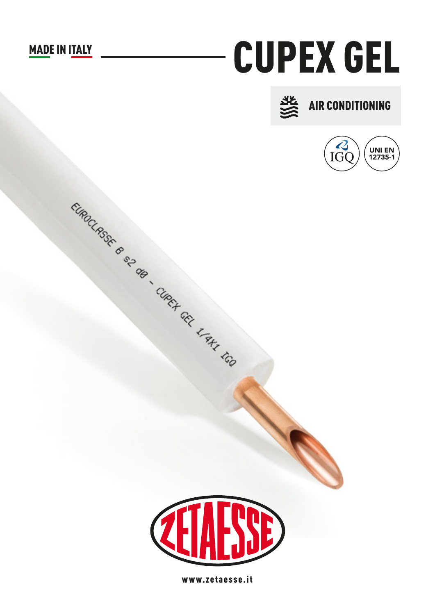## **MADE IN ITALY**

## **CUPEX GEL**







CIRCLASSE 6 S2 de CIRCH CEL L'AN LGO

www.zetaesse.it